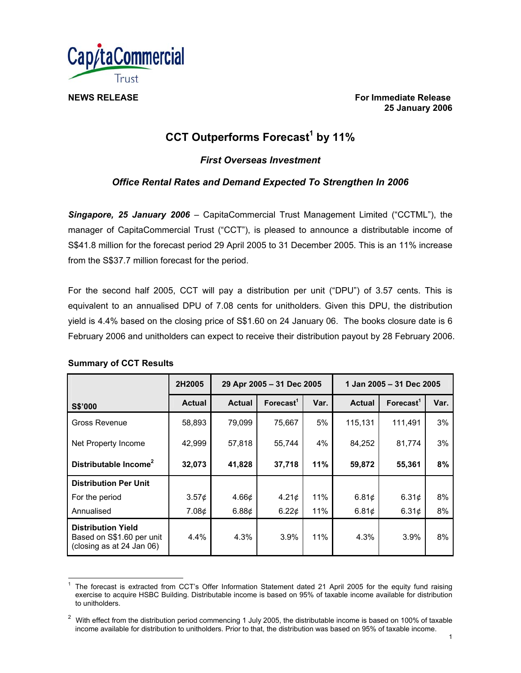

**NEWS RELEASE** For Immediate Release **For Immediate Release 25 January 2006** 

# **CCT Outperforms Forecast<sup>1</sup> by 11%**

*First Overseas Investment* 

# *Office Rental Rates and Demand Expected To Strengthen In 2006*

*Singapore, 25 January 2006* – CapitaCommercial Trust Management Limited ("CCTML"), the manager of CapitaCommercial Trust ("CCT"), is pleased to announce a distributable income of S\$41.8 million for the forecast period 29 April 2005 to 31 December 2005. This is an 11% increase from the S\$37.7 million forecast for the period.

For the second half 2005, CCT will pay a distribution per unit ("DPU") of 3.57 cents. This is equivalent to an annualised DPU of 7.08 cents for unitholders. Given this DPU, the distribution yield is 4.4% based on the closing price of S\$1.60 on 24 January 06. The books closure date is 6 February 2006 and unitholders can expect to receive their distribution payout by 28 February 2006.

# **Summary of CCT Results**

|                                                                                     | 2H2005        | 29 Apr 2005 - 31 Dec 2005 |                             |      | 1 Jan 2005 - 31 Dec 2005 |                       |      |
|-------------------------------------------------------------------------------------|---------------|---------------------------|-----------------------------|------|--------------------------|-----------------------|------|
| S\$'000                                                                             | <b>Actual</b> | <b>Actual</b>             | $\text{For} \text{ecast}^1$ | Var. | <b>Actual</b>            | Forecast <sup>1</sup> | Var. |
| Gross Revenue                                                                       | 58,893        | 79,099                    | 75,667                      | 5%   | 115,131                  | 111,491               | 3%   |
| Net Property Income                                                                 | 42,999        | 57,818                    | 55,744                      | 4%   | 84,252                   | 81,774                | 3%   |
| Distributable Income <sup>2</sup>                                                   | 32,073        | 41,828                    | 37,718                      | 11%  | 59,872                   | 55,361                | 8%   |
| <b>Distribution Per Unit</b>                                                        |               |                           |                             |      |                          |                       |      |
| For the period                                                                      | $3.57\phi$    | 4.66 $\phi$               | 4.21 <sub>¢</sub>           | 11%  | 6.81 $\phi$              | 6.31¢                 | 8%   |
| Annualised                                                                          | 7.08¢         | 6.88¢                     | 6.22¢                       | 11%  | 6.81¢                    | 6.31¢                 | 8%   |
| <b>Distribution Yield</b><br>Based on S\$1.60 per unit<br>(closing as at 24 Jan 06) | 4.4%          | 4.3%                      | 3.9%                        | 11%  | 4.3%                     | 3.9%                  | 8%   |

 $\overline{a}$ 1 The forecast is extracted from CCT's Offer Information Statement dated 21 April 2005 for the equity fund raising exercise to acquire HSBC Building. Distributable income is based on 95% of taxable income available for distribution to unitholders.

<sup>2</sup> With effect from the distribution period commencing 1 July 2005, the distributable income is based on 100% of taxable income available for distribution to unitholders. Prior to that, the distribution was based on 95% of taxable income.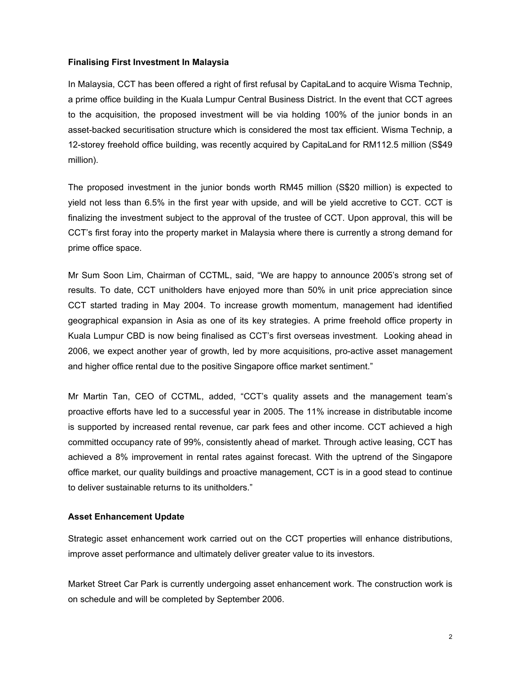## **Finalising First Investment In Malaysia**

In Malaysia, CCT has been offered a right of first refusal by CapitaLand to acquire Wisma Technip, a prime office building in the Kuala Lumpur Central Business District. In the event that CCT agrees to the acquisition, the proposed investment will be via holding 100% of the junior bonds in an asset-backed securitisation structure which is considered the most tax efficient. Wisma Technip, a 12-storey freehold office building, was recently acquired by CapitaLand for RM112.5 million (S\$49 million).

The proposed investment in the junior bonds worth RM45 million (S\$20 million) is expected to yield not less than 6.5% in the first year with upside, and will be yield accretive to CCT. CCT is finalizing the investment subject to the approval of the trustee of CCT. Upon approval, this will be CCT's first foray into the property market in Malaysia where there is currently a strong demand for prime office space.

Mr Sum Soon Lim, Chairman of CCTML, said, "We are happy to announce 2005's strong set of results. To date, CCT unitholders have enjoyed more than 50% in unit price appreciation since CCT started trading in May 2004. To increase growth momentum, management had identified geographical expansion in Asia as one of its key strategies. A prime freehold office property in Kuala Lumpur CBD is now being finalised as CCT's first overseas investment. Looking ahead in 2006, we expect another year of growth, led by more acquisitions, pro-active asset management and higher office rental due to the positive Singapore office market sentiment."

Mr Martin Tan, CEO of CCTML, added, "CCT's quality assets and the management team's proactive efforts have led to a successful year in 2005. The 11% increase in distributable income is supported by increased rental revenue, car park fees and other income. CCT achieved a high committed occupancy rate of 99%, consistently ahead of market. Through active leasing, CCT has achieved a 8% improvement in rental rates against forecast. With the uptrend of the Singapore office market, our quality buildings and proactive management, CCT is in a good stead to continue to deliver sustainable returns to its unitholders."

# **Asset Enhancement Update**

Strategic asset enhancement work carried out on the CCT properties will enhance distributions, improve asset performance and ultimately deliver greater value to its investors.

Market Street Car Park is currently undergoing asset enhancement work. The construction work is on schedule and will be completed by September 2006.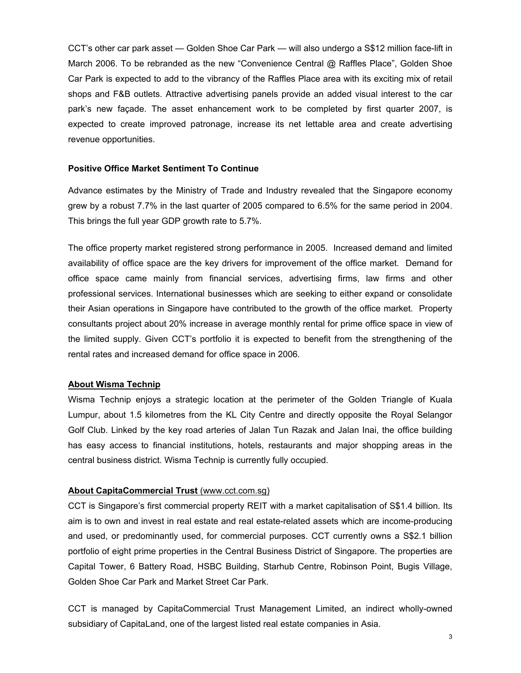CCT's other car park asset — Golden Shoe Car Park — will also undergo a S\$12 million face-lift in March 2006. To be rebranded as the new "Convenience Central @ Raffles Place", Golden Shoe Car Park is expected to add to the vibrancy of the Raffles Place area with its exciting mix of retail shops and F&B outlets. Attractive advertising panels provide an added visual interest to the car park's new façade. The asset enhancement work to be completed by first quarter 2007, is expected to create improved patronage, increase its net lettable area and create advertising revenue opportunities.

## **Positive Office Market Sentiment To Continue**

Advance estimates by the Ministry of Trade and Industry revealed that the Singapore economy grew by a robust 7.7% in the last quarter of 2005 compared to 6.5% for the same period in 2004. This brings the full year GDP growth rate to 5.7%.

The office property market registered strong performance in 2005. Increased demand and limited availability of office space are the key drivers for improvement of the office market. Demand for office space came mainly from financial services, advertising firms, law firms and other professional services. International businesses which are seeking to either expand or consolidate their Asian operations in Singapore have contributed to the growth of the office market. Property consultants project about 20% increase in average monthly rental for prime office space in view of the limited supply. Given CCT's portfolio it is expected to benefit from the strengthening of the rental rates and increased demand for office space in 2006.

### **About Wisma Technip**

Wisma Technip enjoys a strategic location at the perimeter of the Golden Triangle of Kuala Lumpur, about 1.5 kilometres from the KL City Centre and directly opposite the Royal Selangor Golf Club. Linked by the key road arteries of Jalan Tun Razak and Jalan Inai, the office building has easy access to financial institutions, hotels, restaurants and major shopping areas in the central business district. Wisma Technip is currently fully occupied.

# **About CapitaCommercial Trust** (www.cct.com.sg)

CCT is Singapore's first commercial property REIT with a market capitalisation of S\$1.4 billion. Its aim is to own and invest in real estate and real estate-related assets which are income-producing and used, or predominantly used, for commercial purposes. CCT currently owns a S\$2.1 billion portfolio of eight prime properties in the Central Business District of Singapore. The properties are Capital Tower, 6 Battery Road, HSBC Building, Starhub Centre, Robinson Point, Bugis Village, Golden Shoe Car Park and Market Street Car Park.

CCT is managed by CapitaCommercial Trust Management Limited, an indirect wholly-owned subsidiary of CapitaLand, one of the largest listed real estate companies in Asia.